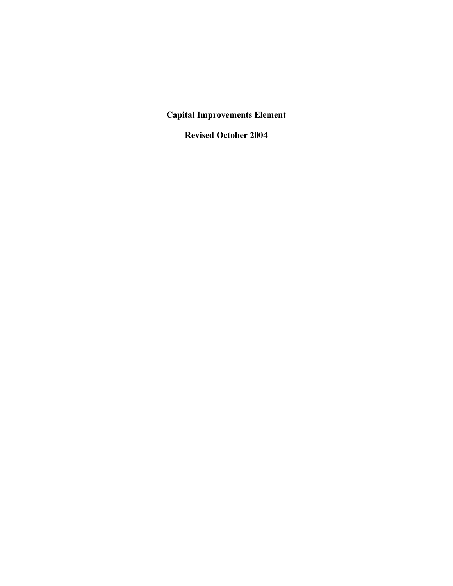**Capital Improvements Element**

**Revised October 2004**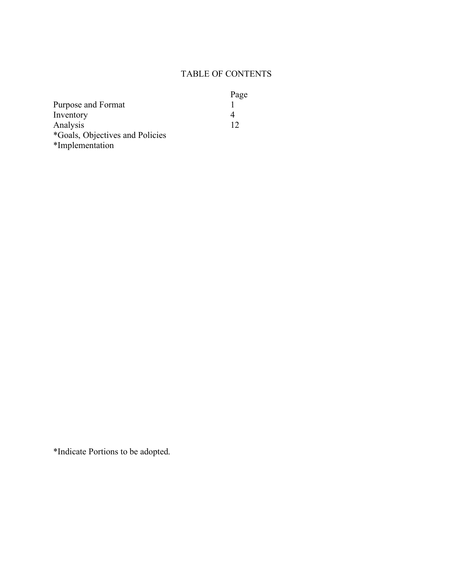# TABLE OF CONTENTS

|                                 | Page |
|---------------------------------|------|
| Purpose and Format              |      |
| Inventory                       |      |
| Analysis                        | 12   |
| *Goals, Objectives and Policies |      |

\*Implementation

\*Indicate Portions to be adopted.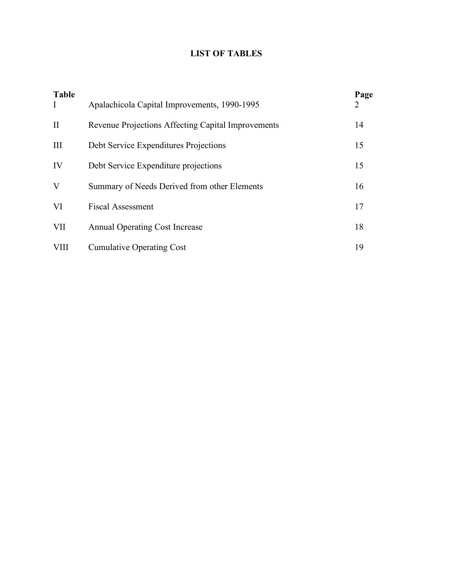## **LIST OF TABLES**

| <b>Table</b><br>$\bf{I}$ | Apalachicola Capital Improvements, 1990-1995       | Page<br>2 |
|--------------------------|----------------------------------------------------|-----------|
| $\rm II$                 | Revenue Projections Affecting Capital Improvements | 14        |
| III                      | Debt Service Expenditures Projections              | 15        |
| IV                       | Debt Service Expenditure projections               | 15        |
| V                        | Summary of Needs Derived from other Elements       | 16        |
| VI                       | <b>Fiscal Assessment</b>                           | 17        |
| VII                      | <b>Annual Operating Cost Increase</b>              | 18        |
| <b>VIII</b>              | <b>Cumulative Operating Cost</b>                   | 19        |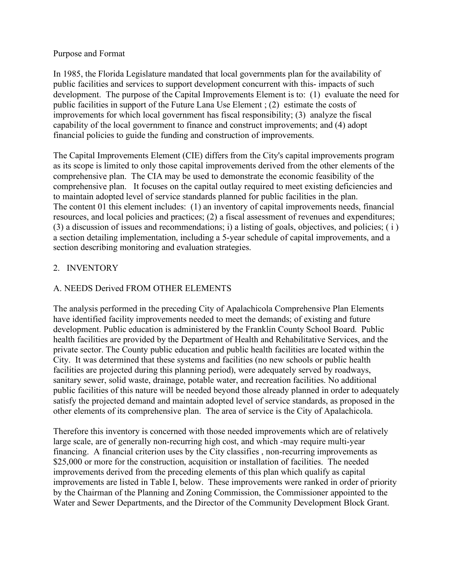#### Purpose and Format

In 1985, the Florida Legislature mandated that local governments plan for the availability of public facilities and services to support development concurrent with this- impacts of such development. The purpose of the Capital Improvements Element is to: (1) evaluate the need for public facilities in support of the Future Lana Use Element ; (2) estimate the costs of improvements for which local government has fiscal responsibility; (3) analyze the fiscal capability of the local government to finance and construct improvements; and (4) adopt financial policies to guide the funding and construction of improvements.

The Capital Improvements Element (CIE) differs from the City's capital improvements program as its scope is limited to only those capital improvements derived from the other elements of the comprehensive plan. The CIA may be used to demonstrate the economic feasibility of the comprehensive plan. It focuses on the capital outlay required to meet existing deficiencies and to maintain adopted level of service standards planned for public facilities in the plan. The content 01 this element includes: (1) an inventory of capital improvements needs, financial resources, and local policies and practices; (2) a fiscal assessment of revenues and expenditures; (3) a discussion of issues and recommendations; i) a listing of goals, objectives, and policies; ( i ) a section detailing implementation, including a 5-year schedule of capital improvements, and a section describing monitoring and evaluation strategies.

# 2. INVENTORY

# A. NEEDS Derived FROM OTHER ELEMENTS

The analysis performed in the preceding City of Apalachicola Comprehensive Plan Elements have identified facility improvements needed to meet the demands; of existing and future development. Public education is administered by the Franklin County School Board. Public health facilities are provided by the Department of Health and Rehabilitative Services, and the private sector. The County public education and public health facilities are located within the City. It was determined that these systems and facilities (no new schools or public health facilities are projected during this planning period), were adequately served by roadways, sanitary sewer, solid waste, drainage, potable water, and recreation facilities. No additional public facilities of this nature will be needed beyond those already planned in order to adequately satisfy the projected demand and maintain adopted level of service standards, as proposed in the other elements of its comprehensive plan. The area of service is the City of Apalachicola.

Therefore this inventory is concerned with those needed improvements which are of relatively large scale, are of generally non-recurring high cost, and which -may require multi-year financing. A financial criterion uses by the City classifies , non-recurring improvements as \$25,000 or more for the construction, acquisition or installation of facilities. The needed improvements derived from the preceding elements of this plan which qualify as capital improvements are listed in Table I, below. These improvements were ranked in order of priority by the Chairman of the Planning and Zoning Commission, the Commissioner appointed to the Water and Sewer Departments, and the Director of the Community Development Block Grant.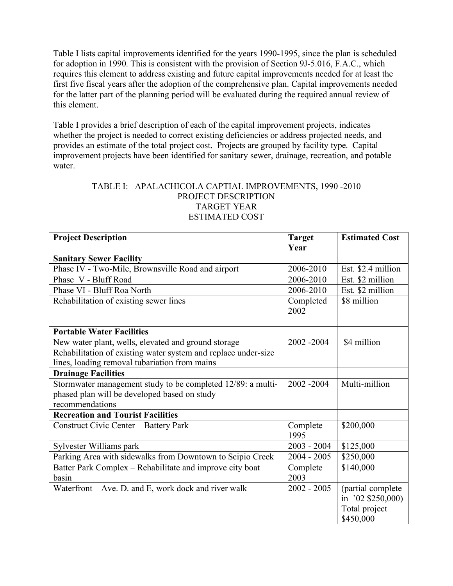Table I lists capital improvements identified for the years 1990-1995, since the plan is scheduled for adoption in 1990. This is consistent with the provision of Section 9J-5.016, F.A.C., which requires this element to address existing and future capital improvements needed for at least the first five fiscal years after the adoption of the comprehensive plan. Capital improvements needed for the latter part of the planning period will be evaluated during the required annual review of this element.

Table I provides a brief description of each of the capital improvement projects, indicates whether the project is needed to correct existing deficiencies or address projected needs, and provides an estimate of the total project cost. Projects are grouped by facility type. Capital improvement projects have been identified for sanitary sewer, drainage, recreation, and potable water.

### TABLE I: APALACHICOLA CAPTIAL IMPROVEMENTS, 1990 -2010 PROJECT DESCRIPTION TARGET YEAR ESTIMATED COST

| <b>Project Description</b>                                     | <b>Target</b> | <b>Estimated Cost</b> |
|----------------------------------------------------------------|---------------|-----------------------|
|                                                                | Year          |                       |
| <b>Sanitary Sewer Facility</b>                                 |               |                       |
| Phase IV - Two-Mile, Brownsville Road and airport              | 2006-2010     | Est. \$2.4 million    |
| Phase V - Bluff Road                                           | 2006-2010     | Est. \$2 million      |
| Phase VI - Bluff Roa North                                     | 2006-2010     | Est. \$2 million      |
| Rehabilitation of existing sewer lines                         | Completed     | \$8 million           |
|                                                                | 2002          |                       |
|                                                                |               |                       |
| <b>Portable Water Facilities</b>                               |               |                       |
| New water plant, wells, elevated and ground storage            | 2002 - 2004   | \$4 million           |
| Rehabilitation of existing water system and replace under-size |               |                       |
| lines, loading removal tubariation from mains                  |               |                       |
| <b>Drainage Facilities</b>                                     |               |                       |
| Stormwater management study to be completed 12/89: a multi-    | 2002 - 2004   | Multi-million         |
| phased plan will be developed based on study                   |               |                       |
| recommendations                                                |               |                       |
| <b>Recreation and Tourist Facilities</b>                       |               |                       |
| Construct Civic Center - Battery Park                          | Complete      | \$200,000             |
|                                                                | 1995          |                       |
| Sylvester Williams park                                        | $2003 - 2004$ | \$125,000             |
| Parking Area with sidewalks from Downtown to Scipio Creek      | $2004 - 2005$ | \$250,000             |
| Batter Park Complex - Rehabilitate and improve city boat       | Complete      | \$140,000             |
| basin                                                          | 2003          |                       |
| Waterfront - Ave. D. and E, work dock and river walk           | $2002 - 2005$ | (partial complete     |
|                                                                |               | in '02 \$250,000)     |
|                                                                |               | Total project         |
|                                                                |               | \$450,000             |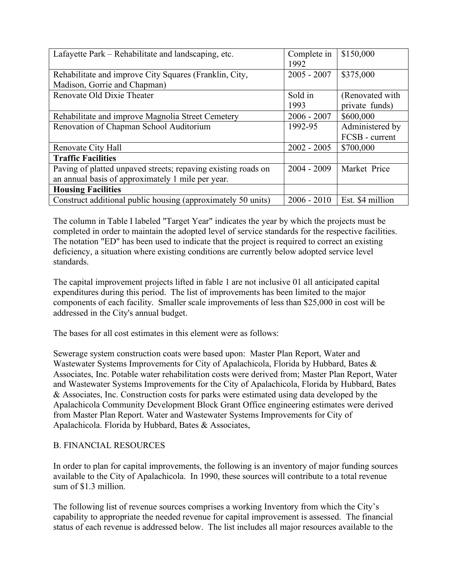| Lafayette Park – Rehabilitate and landscaping, etc.           | Complete in<br>1992 | \$150,000        |
|---------------------------------------------------------------|---------------------|------------------|
| Rehabilitate and improve City Squares (Franklin, City,        | $2005 - 2007$       | \$375,000        |
| Madison, Gorrie and Chapman)                                  |                     |                  |
| Renovate Old Dixie Theater                                    | Sold in             | (Renovated with  |
|                                                               | 1993                | private funds)   |
| Rehabilitate and improve Magnolia Street Cemetery             | $2006 - 2007$       | \$600,000        |
| Renovation of Chapman School Auditorium                       | 1992-95             | Administered by  |
|                                                               |                     | FCSB - current   |
| Renovate City Hall                                            | $2002 - 2005$       | \$700,000        |
| <b>Traffic Facilities</b>                                     |                     |                  |
| Paving of platted unpaved streets; repaving existing roads on | $2004 - 2009$       | Market Price     |
| an annual basis of approximately 1 mile per year.             |                     |                  |
| <b>Housing Facilities</b>                                     |                     |                  |
| Construct additional public housing (approximately 50 units)  | $2006 - 2010$       | Est. \$4 million |

The column in Table I labeled "Target Year" indicates the year by which the projects must be completed in order to maintain the adopted level of service standards for the respective facilities. The notation "ED" has been used to indicate that the project is required to correct an existing deficiency, a situation where existing conditions are currently below adopted service level standards.

The capital improvement projects lifted in fable 1 are not inclusive 01 all anticipated capital expenditures during this period. The list of improvements has been limited to the major components of each facility. Smaller scale improvements of less than \$25,000 in cost will be addressed in the City's annual budget.

The bases for all cost estimates in this element were as follows:

Sewerage system construction coats were based upon: Master Plan Report, Water and Wastewater Systems Improvements for City of Apalachicola, Florida by Hubbard, Bates & Associates, Inc. Potable water rehabilitation costs were derived from; Master Plan Report, Water and Wastewater Systems Improvements for the City of Apalachicola, Florida by Hubbard, Bates & Associates, Inc. Construction costs for parks were estimated using data developed by the Apalachicola Community Development Block Grant Office engineering estimates were derived from Master Plan Report. Water and Wastewater Systems Improvements for City of Apalachicola. Florida by Hubbard, Bates & Associates,

# B. FINANCIAL RESOURCES

In order to plan for capital improvements, the following is an inventory of major funding sources available to the City of Apalachicola. In 1990, these sources will contribute to a total revenue sum of \$1.3 million.

The following list of revenue sources comprises a working Inventory from which the City's capability to appropriate the needed revenue for capital improvement is assessed. The financial status of each revenue is addressed below. The list includes all major resources available to the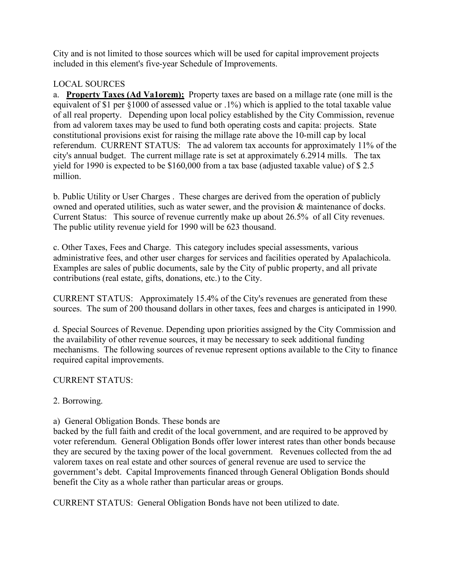City and is not limited to those sources which will be used for capital improvement projects included in this element's five-year Schedule of Improvements.

# LOCAL SOURCES

a. **Property Taxes (Ad Va1orem);** Property taxes are based on a millage rate (one mill is the equivalent of \$1 per §1000 of assessed value or .1%) which is applied to the total taxable value of all real property. Depending upon local policy established by the City Commission, revenue from ad valorem taxes may be used to fund both operating costs and capita: projects. State constitutional provisions exist for raising the millage rate above the 10-mill cap by local referendum. CURRENT STATUS: The ad valorem tax accounts for approximately 11% of the city's annual budget. The current millage rate is set at approximately 6.2914 mills. The tax yield for 1990 is expected to be \$160,000 from a tax base (adjusted taxable value) of \$ 2.5 million.

b. Public Utility or User Charges . These charges are derived from the operation of publicly owned and operated utilities, such as water sewer, and the provision & maintenance of docks. Current Status: This source of revenue currently make up about 26.5% of all City revenues. The public utility revenue yield for 1990 will be 623 thousand.

c. Other Taxes, Fees and Charge. This category includes special assessments, various administrative fees, and other user charges for services and facilities operated by Apalachicola. Examples are sales of public documents, sale by the City of public property, and all private contributions (real estate, gifts, donations, etc.) to the City.

CURRENT STATUS: Approximately 15.4% of the City's revenues are generated from these sources. The sum of 200 thousand dollars in other taxes, fees and charges is anticipated in 1990.

d. Special Sources of Revenue. Depending upon priorities assigned by the City Commission and the availability of other revenue sources, it may be necessary to seek additional funding mechanisms. The following sources of revenue represent options available to the City to finance required capital improvements.

## CURRENT STATUS:

## 2. Borrowing.

## a) General Obligation Bonds. These bonds are

backed by the full faith and credit of the local government, and are required to be approved by voter referendum. General Obligation Bonds offer lower interest rates than other bonds because they are secured by the taxing power of the local government. Revenues collected from the ad valorem taxes on real estate and other sources of general revenue are used to service the government's debt. Capital Improvements financed through General Obligation Bonds should benefit the City as a whole rather than particular areas or groups.

CURRENT STATUS: General Obligation Bonds have not been utilized to date.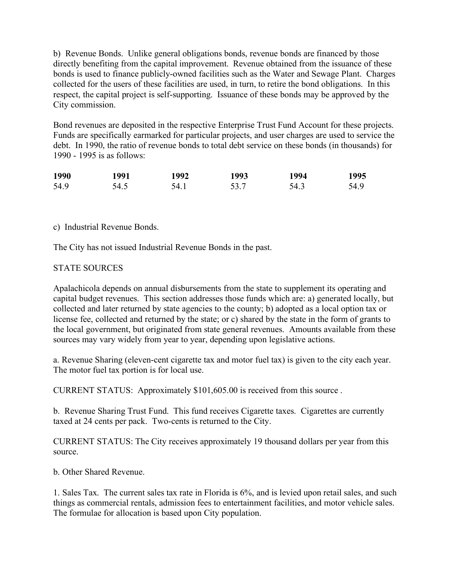b) Revenue Bonds. Unlike general obligations bonds, revenue bonds are financed by those directly benefiting from the capital improvement. Revenue obtained from the issuance of these bonds is used to finance publicly-owned facilities such as the Water and Sewage Plant. Charges collected for the users of these facilities are used, in turn, to retire the bond obligations. In this respect, the capital project is self-supporting. Issuance of these bonds may be approved by the City commission.

Bond revenues are deposited in the respective Enterprise Trust Fund Account for these projects. Funds are specifically earmarked for particular projects, and user charges are used to service the debt. In 1990, the ratio of revenue bonds to total debt service on these bonds (in thousands) for 1990 - 1995 is as follows:

| 1990 | 1991 | 1992 | 1993 | 1994 | 1995 |
|------|------|------|------|------|------|
| 54.9 | 54.5 | 54.1 | 53.7 | 54.3 | 54.9 |

#### c) Industrial Revenue Bonds.

The City has not issued Industrial Revenue Bonds in the past.

### STATE SOURCES

Apalachicola depends on annual disbursements from the state to supplement its operating and capital budget revenues. This section addresses those funds which are: a) generated locally, but collected and later returned by state agencies to the county; b) adopted as a local option tax or license fee, collected and returned by the state; or c) shared by the state in the form of grants to the local government, but originated from state general revenues. Amounts available from these sources may vary widely from year to year, depending upon legislative actions.

a. Revenue Sharing (eleven-cent cigarette tax and motor fuel tax) is given to the city each year. The motor fuel tax portion is for local use.

CURRENT STATUS: Approximately \$101,605.00 is received from this source .

b. Revenue Sharing Trust Fund. This fund receives Cigarette taxes. Cigarettes are currently taxed at 24 cents per pack. Two-cents is returned to the City.

CURRENT STATUS: The City receives approximately 19 thousand dollars per year from this source.

b. Other Shared Revenue.

1. Sales Tax. The current sales tax rate in Florida is 6%, and is levied upon retail sales, and such things as commercial rentals, admission fees to entertainment facilities, and motor vehicle sales. The formulae for allocation is based upon City population.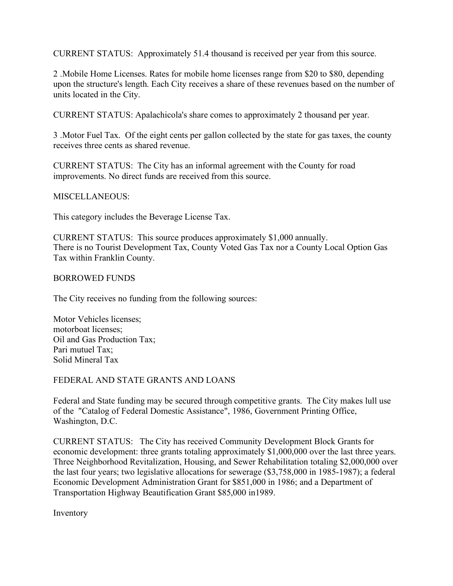CURRENT STATUS: Approximately 51.4 thousand is received per year from this source.

2 .Mobile Home Licenses. Rates for mobile home licenses range from \$20 to \$80, depending upon the structure's length. Each City receives a share of these revenues based on the number of units located in the City.

CURRENT STATUS: Apalachicola's share comes to approximately 2 thousand per year.

3 .Motor Fuel Tax. Of the eight cents per gallon collected by the state for gas taxes, the county receives three cents as shared revenue.

CURRENT STATUS: The City has an informal agreement with the County for road improvements. No direct funds are received from this source.

MISCELLANEOUS:

This category includes the Beverage License Tax.

CURRENT STATUS: This source produces approximately \$1,000 annually. There is no Tourist Development Tax, County Voted Gas Tax nor a County Local Option Gas Tax within Franklin County.

BORROWED FUNDS

The City receives no funding from the following sources:

Motor Vehicles licenses; motorboat licenses; Oil and Gas Production Tax; Pari mutuel Tax; Solid Mineral Tax

#### FEDERAL AND STATE GRANTS AND LOANS

Federal and State funding may be secured through competitive grants. The City makes lull use of the "Catalog of Federal Domestic Assistance", 1986, Government Printing Office, Washington, D.C.

CURRENT STATUS: The City has received Community Development Block Grants for economic development: three grants totaling approximately \$1,000,000 over the last three years. Three Neighborhood Revitalization, Housing, and Sewer Rehabilitation totaling \$2,000,000 over the last four years; two legislative allocations for sewerage (\$3,758,000 in 1985-1987); a federal Economic Development Administration Grant for \$851,000 in 1986; and a Department of Transportation Highway Beautification Grant \$85,000 in1989.

Inventory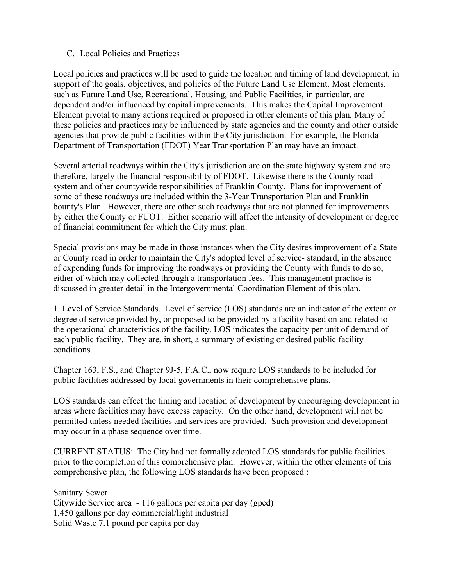### C. Local Policies and Practices

Local policies and practices will be used to guide the location and timing of land development, in support of the goals, objectives, and policies of the Future Land Use Element. Most elements, such as Future Land Use, Recreational, Housing, and Public Facilities, in particular, are dependent and/or influenced by capital improvements. This makes the Capital Improvement Element pivotal to many actions required or proposed in other elements of this plan. Many of these policies and practices may be influenced by state agencies and the county and other outside agencies that provide public facilities within the City jurisdiction. For example, the Florida Department of Transportation (FDOT) Year Transportation Plan may have an impact.

Several arterial roadways within the City's jurisdiction are on the state highway system and are therefore, largely the financial responsibility of FDOT. Likewise there is the County road system and other countywide responsibilities of Franklin County. Plans for improvement of some of these roadways are included within the 3-Year Transportation Plan and Franklin bounty's Plan. However, there are other such roadways that are not planned for improvements by either the County or FUOT. Either scenario will affect the intensity of development or degree of financial commitment for which the City must plan.

Special provisions may be made in those instances when the City desires improvement of a State or County road in order to maintain the City's adopted level of service- standard, in the absence of expending funds for improving the roadways or providing the County with funds to do so, either of which may collected through a transportation fees. This management practice is discussed in greater detail in the Intergovernmental Coordination Element of this plan.

1. Level of Service Standards. Level of service (LOS) standards are an indicator of the extent or degree of service provided by, or proposed to be provided by a facility based on and related to the operational characteristics of the facility. LOS indicates the capacity per unit of demand of each public facility. They are, in short, a summary of existing or desired public facility conditions.

Chapter 163, F.S., and Chapter 9J-5, F.A.C., now require LOS standards to be included for public facilities addressed by local governments in their comprehensive plans.

LOS standards can effect the timing and location of development by encouraging development in areas where facilities may have excess capacity. On the other hand, development will not be permitted unless needed facilities and services are provided. Such provision and development may occur in a phase sequence over time.

CURRENT STATUS: The City had not formally adopted LOS standards for public facilities prior to the completion of this comprehensive plan. However, within the other elements of this comprehensive plan, the following LOS standards have been proposed :

Sanitary Sewer Citywide Service area - 116 gallons per capita per day (gpcd) 1,450 gallons per day commercial/light industrial Solid Waste 7.1 pound per capita per day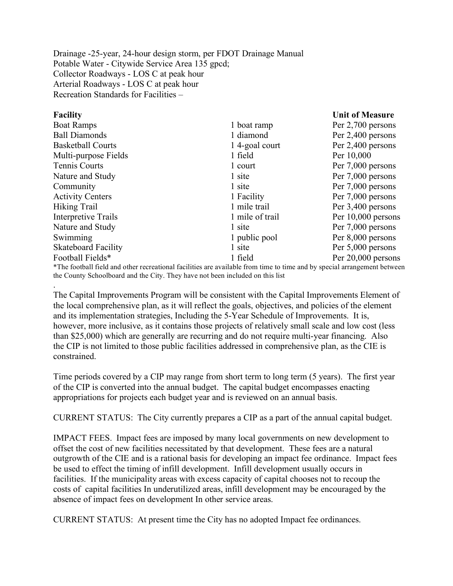Drainage -25-year, 24-hour design storm, per FDOT Drainage Manual Potable Water - Citywide Service Area 135 gpcd; Collector Roadways - LOS C at peak hour Arterial Roadways - LOS C at peak hour Recreation Standards for Facilities –

.

| <b>Facility</b>            |                 | <b>Unit of Measure</b> |
|----------------------------|-----------------|------------------------|
| <b>Boat Ramps</b>          | 1 boat ramp     | Per 2,700 persons      |
| <b>Ball Diamonds</b>       | 1 diamond       | Per 2,400 persons      |
| <b>Basketball Courts</b>   | 14-goal court   | Per 2,400 persons      |
| Multi-purpose Fields       | 1 field         | Per 10,000             |
| Tennis Courts              | 1 court         | Per 7,000 persons      |
| Nature and Study           | 1 site          | Per 7,000 persons      |
| Community                  | 1 site          | Per 7,000 persons      |
| <b>Activity Centers</b>    | 1 Facility      | Per 7,000 persons      |
| Hiking Trail               | 1 mile trail    | Per 3,400 persons      |
| Interpretive Trails        | 1 mile of trail | Per 10,000 persons     |
| Nature and Study           | 1 site          | Per 7,000 persons      |
| Swimming                   | 1 public pool   | Per 8,000 persons      |
| <b>Skateboard Facility</b> | 1 site          | Per 5,000 persons      |
| Football Fields*           | 1 field         | Per 20,000 persons     |
|                            |                 |                        |

\*The football field and other recreational facilities are available from time to time and by special arrangement between the County Schoolboard and the City. They have not been included on this list

The Capital Improvements Program will be consistent with the Capital Improvements Element of the local comprehensive plan, as it will reflect the goals, objectives, and policies of the element and its implementation strategies, Including the 5-Year Schedule of Improvements. It is, however, more inclusive, as it contains those projects of relatively small scale and low cost (less than \$25,000) which are generally are recurring and do not require multi-year financing. Also the CIP is not limited to those public facilities addressed in comprehensive plan, as the CIE is constrained.

Time periods covered by a CIP may range from short term to long term (5 years). The first year of the CIP is converted into the annual budget. The capital budget encompasses enacting appropriations for projects each budget year and is reviewed on an annual basis.

CURRENT STATUS: The City currently prepares a CIP as a part of the annual capital budget.

IMPACT FEES. Impact fees are imposed by many local governments on new development to offset the cost of new facilities necessitated by that development. These fees are a natural outgrowth of the CIE and is a rational basis for developing an impact fee ordinance. Impact fees be used to effect the timing of infill development. Infill development usually occurs in facilities. If the municipality areas with excess capacity of capital chooses not to recoup the costs of capital facilities In underutilized areas, infill development may be encouraged by the absence of impact fees on development In other service areas.

CURRENT STATUS: At present time the City has no adopted Impact fee ordinances.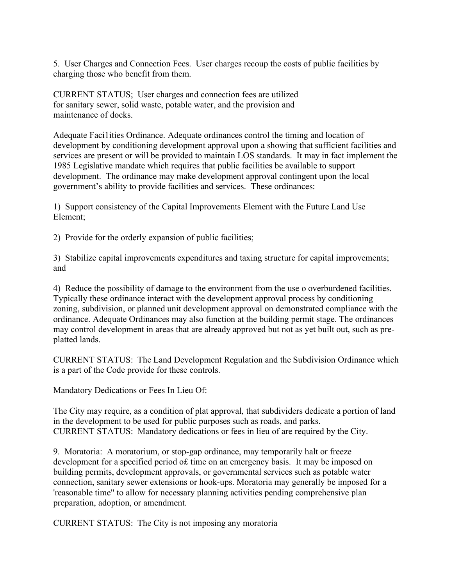5. User Charges and Connection Fees. User charges recoup the costs of public facilities by charging those who benefit from them.

CURRENT STATUS; User charges and connection fees are utilized for sanitary sewer, solid waste, potable water, and the provision and maintenance of docks.

Adequate Faci1ities Ordinance. Adequate ordinances control the timing and location of development by conditioning development approval upon a showing that sufficient facilities and services are present or will be provided to maintain LOS standards. It may in fact implement the 1985 Legislative mandate which requires that public facilities be available to support development. The ordinance may make development approval contingent upon the local government's ability to provide facilities and services. These ordinances:

1) Support consistency of the Capital Improvements Element with the Future Land Use Element;

2) Provide for the orderly expansion of public facilities;

3) Stabilize capital improvements expenditures and taxing structure for capital improvements; and

4) Reduce the possibility of damage to the environment from the use o overburdened facilities. Typically these ordinance interact with the development approval process by conditioning zoning, subdivision, or planned unit development approval on demonstrated compliance with the ordinance. Adequate Ordinances may also function at the building permit stage. The ordinances may control development in areas that are already approved but not as yet built out, such as preplatted lands.

CURRENT STATUS: The Land Development Regulation and the Subdivision Ordinance which is a part of the Code provide for these controls.

Mandatory Dedications or Fees In Lieu Of:

The City may require, as a condition of plat approval, that subdividers dedicate a portion of land in the development to be used for public purposes such as roads, and parks. CURRENT STATUS: Mandatory dedications or fees in lieu of are required by the City.

9. Moratoria: A moratorium, or stop-gap ordinance, may temporarily halt or freeze development for a specified period of time on an emergency basis. It may be imposed on building permits, development approvals, or governmental services such as potable water connection, sanitary sewer extensions or hook-ups. Moratoria may generally be imposed for a 'reasonable time" to allow for necessary planning activities pending comprehensive plan preparation, adoption, or amendment.

CURRENT STATUS: The City is not imposing any moratoria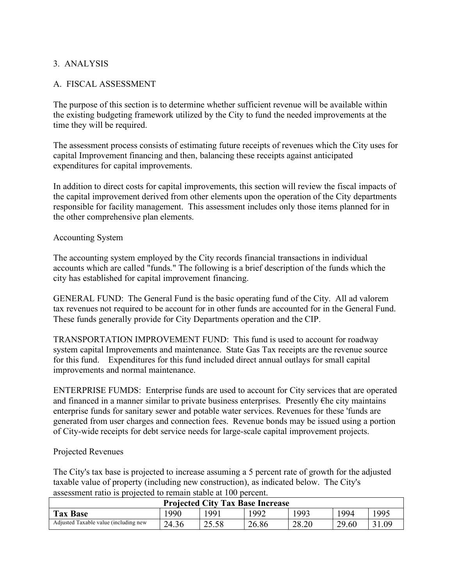## 3. ANALYSIS

## A. FISCAL ASSESSMENT

The purpose of this section is to determine whether sufficient revenue will be available within the existing budgeting framework utilized by the City to fund the needed improvements at the time they will be required.

The assessment process consists of estimating future receipts of revenues which the City uses for capital Improvement financing and then, balancing these receipts against anticipated expenditures for capital improvements.

In addition to direct costs for capital improvements, this section will review the fiscal impacts of the capital improvement derived from other elements upon the operation of the City departments responsible for facility management. This assessment includes only those items planned for in the other comprehensive plan elements.

### Accounting System

The accounting system employed by the City records financial transactions in individual accounts which are called "funds." The following is a brief description of the funds which the city has established for capital improvement financing.

GENERAL FUND: The General Fund is the basic operating fund of the City. All ad valorem tax revenues not required to be account for in other funds are accounted for in the General Fund. These funds generally provide for City Departments operation and the CIP.

TRANSPORTATION IMPROVEMENT FUND: This fund is used to account for roadway system capital Improvements and maintenance. State Gas Tax receipts are the revenue source for this fund. Expenditures for this fund included direct annual outlays for small capital improvements and normal maintenance.

ENTERPRISE FUMDS: Enterprise funds are used to account for City services that are operated and financed in a manner similar to private business enterprises. Presently €he city maintains enterprise funds for sanitary sewer and potable water services. Revenues for these 'funds are generated from user charges and connection fees. Revenue bonds may be issued using a portion of City-wide receipts for debt service needs for large-scale capital improvement projects.

#### Projected Revenues

The City's tax base is projected to increase assuming a 5 percent rate of growth for the adjusted taxable value of property (including new construction), as indicated below. The City's assessment ratio is projected to remain stable at 100 percent.

| <b>Projected City Tax Base Increase</b> |       |            |       |       |       |       |
|-----------------------------------------|-------|------------|-------|-------|-------|-------|
| <b>Tax Base</b>                         | .990  | <b>991</b> | 1992  | 993   | 994   | 1995  |
| Adjusted Taxable value (including new   | 24.36 | 25.58      | 26.86 | 28.20 | 29.60 | 31.09 |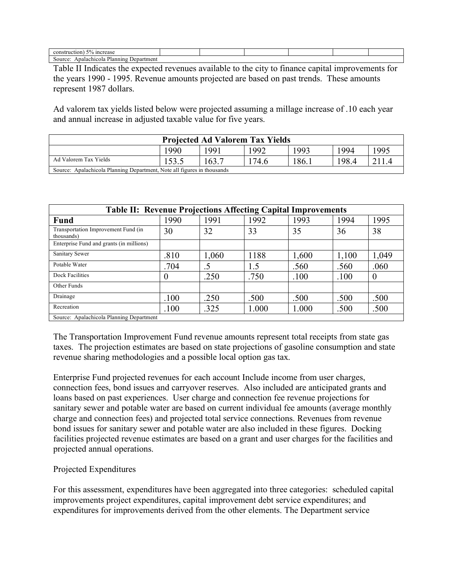| 5% increase<br>construction)                       |  |  |  |
|----------------------------------------------------|--|--|--|
| Planning.<br>Apalachicola<br>Source:<br>Department |  |  |  |

Table II Indicates the expected revenues available to the city to finance capital improvements for the years 1990 - 1995. Revenue amounts projected are based on past trends. These amounts represent 1987 dollars.

Ad valorem tax yields listed below were projected assuming a millage increase of .10 each year and annual increase in adjusted taxable value for five years.

| <b>Projected Ad Valorem Tax Yields</b>                                  |      |       |      |       |       |       |  |
|-------------------------------------------------------------------------|------|-------|------|-------|-------|-------|--|
|                                                                         | 1990 | 991   | 992  | 1993  | 1994  | 1995  |  |
| Ad Valorem Tax Yields                                                   |      | 163.7 | 74.6 | 186.1 | 198.4 | 211.4 |  |
| Source: Apalachicola Planning Department, Note all figures in thousands |      |       |      |       |       |       |  |

| <b>Table II: Revenue Projections Affecting Capital Improvements</b> |          |       |       |       |       |          |  |
|---------------------------------------------------------------------|----------|-------|-------|-------|-------|----------|--|
| <b>Fund</b>                                                         | 1990     | 1991  | 1992  | 1993  | 1994  | 1995     |  |
| Transportation Improvement Fund (in<br>thousands)                   | 30       | 32    | 33    | 35    | 36    | 38       |  |
| Enterprise Fund and grants (in millions)                            |          |       |       |       |       |          |  |
| Sanitary Sewer                                                      | .810     | 1,060 | 1188  | 1,600 | 1,100 | 1,049    |  |
| Potable Water                                                       | .704     | .5    | 1.5   | .560  | .560  | .060     |  |
| Dock Facilities                                                     | $\Omega$ | .250  | .750  | .100  | .100  | $\Omega$ |  |
| Other Funds                                                         |          |       |       |       |       |          |  |
| Drainage                                                            | .100     | .250  | .500  | .500  | .500  | .500     |  |
| Recreation                                                          | .100     | .325  | 1.000 | 1.000 | .500  | .500     |  |
| Source: Apalachicola Planning Department                            |          |       |       |       |       |          |  |

The Transportation Improvement Fund revenue amounts represent total receipts from state gas taxes. The projection estimates are based on state projections of gasoline consumption and state revenue sharing methodologies and a possible local option gas tax.

Enterprise Fund projected revenues for each account Include income from user charges, connection fees, bond issues and carryover reserves. Also included are anticipated grants and loans based on past experiences. User charge and connection fee revenue projections for sanitary sewer and potable water are based on current individual fee amounts (average monthly charge and connection fees) and projected total service connections. Revenues from revenue bond issues for sanitary sewer and potable water are also included in these figures. Docking facilities projected revenue estimates are based on a grant and user charges for the facilities and projected annual operations.

#### Projected Expenditures

For this assessment, expenditures have been aggregated into three categories: scheduled capital improvements project expenditures, capital improvement debt service expenditures; and expenditures for improvements derived from the other elements. The Department service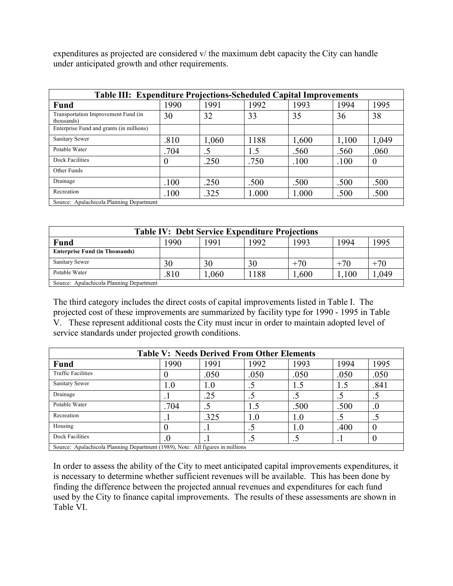expenditures as projected are considered v/ the maximum debt capacity the City can handle under anticipated growth and other requirements.

| <b>Table III: Expenditure Projections-Scheduled Capital Improvements</b> |                                          |       |       |       |       |                |  |
|--------------------------------------------------------------------------|------------------------------------------|-------|-------|-------|-------|----------------|--|
| Fund                                                                     | 1990                                     | 1991  | 1992  | 1993  | 1994  | 1995           |  |
| Transportation Improvement Fund (in<br>thousands)                        | 30                                       | 32    | 33    | 35    | 36    | 38             |  |
| Enterprise Fund and grants (in millions)                                 |                                          |       |       |       |       |                |  |
| Sanitary Sewer                                                           | .810                                     | 1,060 | 1188  | 1,600 | 1,100 | 1,049          |  |
| Potable Water                                                            | .704                                     | .5    | 1.5   | .560  | .560  | .060           |  |
| Dock Facilities                                                          | $\Omega$                                 | .250  | .750  | .100  | .100  | $\overline{0}$ |  |
| Other Funds                                                              |                                          |       |       |       |       |                |  |
| Drainage                                                                 | .100                                     | .250  | .500  | .500  | .500  | .500           |  |
| Recreation                                                               | .100                                     | .325  | 1.000 | 1.000 | .500  | .500           |  |
|                                                                          | Source: Apalachicola Planning Department |       |       |       |       |                |  |

| <b>Table IV: Debt Service Expenditure Projections</b> |      |       |      |       |       |       |
|-------------------------------------------------------|------|-------|------|-------|-------|-------|
| <b>Fund</b>                                           | 990  | 1991  | 1992 | 1993  | 1994  | 1995  |
| <b>Enterprise Fund (in Thousands)</b>                 |      |       |      |       |       |       |
| Sanitary Sewer                                        | 30   | 30    | 30   | $+70$ | $+70$ | $+70$ |
| Potable Water                                         | .810 | 1,060 | 188  | 1,600 | .100  | .049  |
| Source: Apalachicola Planning Department              |      |       |      |       |       |       |

The third category includes the direct costs of capital improvements listed in Table I. The projected cost of these improvements are summarized by facility type for 1990 - 1995 in Table V. These represent additional costs the City must incur in order to maintain adopted level of service standards under projected growth conditions.

| <b>Table V: Needs Derived From Other Elements</b>                             |      |      |      |      |      |      |  |  |
|-------------------------------------------------------------------------------|------|------|------|------|------|------|--|--|
| <b>Fund</b>                                                                   | 1990 | 1991 | 1992 | 1993 | 1994 | 1995 |  |  |
| <b>Traffic Facilities</b>                                                     |      | .050 | .050 | .050 | .050 | .050 |  |  |
| Sanitary Sewer                                                                | 1.0  | 1.0  |      | 1.5  | 1.5  | .841 |  |  |
| Drainage                                                                      | . .  | .25  |      |      | ت .  |      |  |  |
| Potable Water                                                                 | .704 |      | 1.5  | .500 | .500 | .0   |  |  |
| Recreation                                                                    | . .  | .325 | 1.0  | 1.0  | ر.   | ت    |  |  |
| Housing                                                                       |      |      |      | 1.0  | .400 |      |  |  |
| Dock Facilities                                                               | .U   |      | ں ۔  | ر .  | . .  |      |  |  |
| Source: Angleckiecle Plenning Department (1090) Note: All figures in millions |      |      |      |      |      |      |  |  |

Source: Apalachicola Planning Department (1989), Note: All figures in millions

In order to assess the ability of the City to meet anticipated capital improvements expenditures, it is necessary to determine whether sufficient revenues will be available. This has been done by finding the difference between the projected annual revenues and expenditures for each fund used by the City to finance capital improvements. The results of these assessments are shown in Table VI.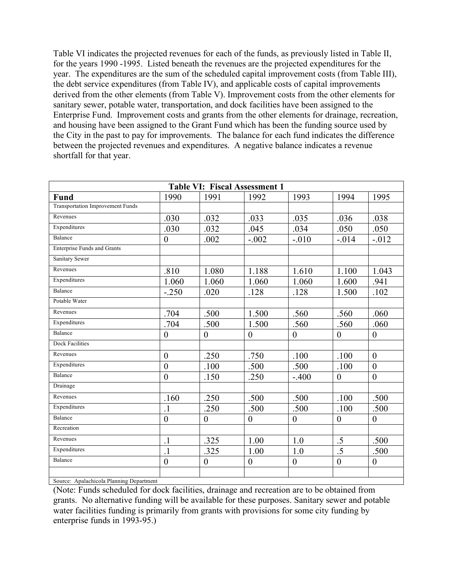Table VI indicates the projected revenues for each of the funds, as previously listed in Table II, for the years 1990 -1995. Listed beneath the revenues are the projected expenditures for the year. The expenditures are the sum of the scheduled capital improvement costs (from Table III), the debt service expenditures (from Table IV), and applicable costs of capital improvements derived from the other elements (from Table V). Improvement costs from the other elements for sanitary sewer, potable water, transportation, and dock facilities have been assigned to the Enterprise Fund. Improvement costs and grants from the other elements for drainage, recreation, and housing have been assigned to the Grant Fund which has been the funding source used by the City in the past to pay for improvements. The balance for each fund indicates the difference between the projected revenues and expenditures. A negative balance indicates a revenue shortfall for that year.

| <b>Table VI: Fiscal Assessment 1</b>     |                  |                  |                  |                  |                  |                  |  |
|------------------------------------------|------------------|------------------|------------------|------------------|------------------|------------------|--|
| <b>Fund</b>                              | 1990             | 1991             | 1992             | 1993             | 1994             | 1995             |  |
| <b>Transportation Improvement Funds</b>  |                  |                  |                  |                  |                  |                  |  |
| Revenues                                 | .030             | .032             | .033             | .035             | .036             | .038             |  |
| Expenditures                             | .030             | .032             | .045             | .034             | .050             | .050             |  |
| Balance                                  | $\boldsymbol{0}$ | .002             | $-.002$          | $-.010$          | $-0.014$         | $-0.012$         |  |
| <b>Enterprise Funds and Grants</b>       |                  |                  |                  |                  |                  |                  |  |
| Sanitary Sewer                           |                  |                  |                  |                  |                  |                  |  |
| Revenues                                 | .810             | 1.080            | 1.188            | 1.610            | 1.100            | 1.043            |  |
| Expenditures                             | 1.060            | 1.060            | 1.060            | 1.060            | 1.600            | .941             |  |
| Balance                                  | $-.250$          | .020             | .128             | .128             | 1.500            | .102             |  |
| Potable Water                            |                  |                  |                  |                  |                  |                  |  |
| Revenues                                 | .704             | .500             | 1.500            | .560             | .560             | .060             |  |
| Expenditures                             | .704             | .500             | 1.500            | .560             | .560             | .060             |  |
| Balance                                  | $\overline{0}$   | $\overline{0}$   | $\mathbf{0}$     | $\overline{0}$   | $\mathbf{0}$     | $\overline{0}$   |  |
| <b>Dock Facilities</b>                   |                  |                  |                  |                  |                  |                  |  |
| Revenues                                 | $\theta$         | .250             | .750             | .100             | .100             | $\theta$         |  |
| Expenditures                             | $\boldsymbol{0}$ | .100             | .500             | .500             | .100             | $\overline{0}$   |  |
| Balance                                  | $\mathbf{0}$     | .150             | .250             | $-.400$          | $\boldsymbol{0}$ | $\boldsymbol{0}$ |  |
| Drainage                                 |                  |                  |                  |                  |                  |                  |  |
| Revenues                                 | .160             | .250             | .500             | .500             | .100             | .500             |  |
| Expenditures                             | $\cdot$ 1        | .250             | .500             | .500             | .100             | .500             |  |
| Balance                                  | $\boldsymbol{0}$ | $\boldsymbol{0}$ | $\boldsymbol{0}$ | $\boldsymbol{0}$ | $\boldsymbol{0}$ | $\boldsymbol{0}$ |  |
| Recreation                               |                  |                  |                  |                  |                  |                  |  |
| Revenues                                 | $\cdot$ 1        | .325             | 1.00             | 1.0              | $.5\,$           | .500             |  |
| Expenditures                             | $\overline{1}$   | .325             | 1.00             | 1.0              | $.5\,$           | .500             |  |
| Balance                                  | $\boldsymbol{0}$ | $\boldsymbol{0}$ | $\boldsymbol{0}$ | $\boldsymbol{0}$ | $\boldsymbol{0}$ | $\boldsymbol{0}$ |  |
|                                          |                  |                  |                  |                  |                  |                  |  |
| Source: Apalachicola Planning Department |                  |                  |                  |                  |                  |                  |  |

(Note: Funds scheduled for dock facilities, drainage and recreation are to be obtained from grants. No alternative funding will be available for these purposes. Sanitary sewer and potable water facilities funding is primarily from grants with provisions for some city funding by enterprise funds in 1993-95.)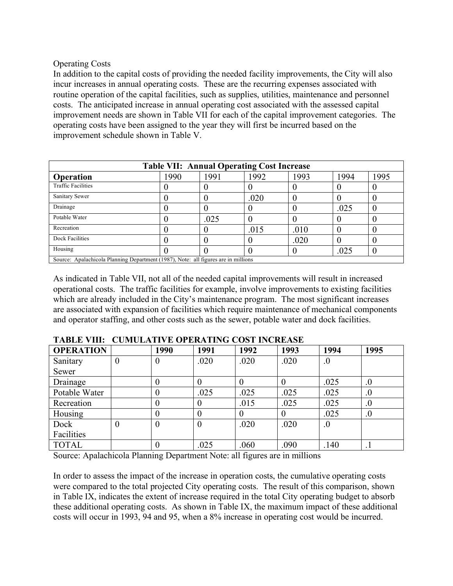### Operating Costs

In addition to the capital costs of providing the needed facility improvements, the City will also incur increases in annual operating costs. These are the recurring expenses associated with routine operation of the capital facilities, such as supplies, utilities, maintenance and personnel costs. The anticipated increase in annual operating cost associated with the assessed capital improvement needs are shown in Table VII for each of the capital improvement categories. The operating costs have been assigned to the year they will first be incurred based on the improvement schedule shown in Table V.

| <b>Table VII: Annual Operating Cost Increase</b>                                   |      |      |      |      |      |      |  |  |
|------------------------------------------------------------------------------------|------|------|------|------|------|------|--|--|
| <b>Operation</b>                                                                   | 1990 | 1991 | 1992 | 1993 | 1994 | 1995 |  |  |
| <b>Traffic Facilities</b>                                                          |      |      |      |      |      |      |  |  |
| Sanitary Sewer                                                                     |      |      | .020 |      |      |      |  |  |
| Drainage                                                                           |      |      |      |      | .025 |      |  |  |
| Potable Water                                                                      |      | .025 |      |      |      |      |  |  |
| Recreation                                                                         |      |      | .015 | .010 |      |      |  |  |
| Dock Facilities                                                                    |      |      |      | .020 |      |      |  |  |
| Housing                                                                            |      |      |      |      | .025 |      |  |  |
| Source: Apalachicola Planning Department (1987), Note: all figures are in millions |      |      |      |      |      |      |  |  |

As indicated in Table VII, not all of the needed capital improvements will result in increased operational costs. The traffic facilities for example, involve improvements to existing facilities which are already included in the City's maintenance program. The most significant increases are associated with expansion of facilities which require maintenance of mechanical components and operator staffing, and other costs such as the sewer, potable water and dock facilities.

| <b>OPERATION</b> |                | 1990     | 1991     | 1992             | 1993 | 1994    | 1995             |
|------------------|----------------|----------|----------|------------------|------|---------|------------------|
| Sanitary         | $\theta$       | $\theta$ | .020     | .020             | .020 | $\cdot$ |                  |
| Sewer            |                |          |          |                  |      |         |                  |
| Drainage         |                |          | $\theta$ |                  |      | .025    | $\cdot$          |
| Potable Water    |                |          | .025     | .025             | .025 | .025    | $\overline{0}$ . |
| Recreation       |                | 0        | $\theta$ | .015             | .025 | .025    | $\overline{0}$ . |
| Housing          |                |          | $\Omega$ | $\left( \right)$ |      | .025    | $_{.0}$          |
| Dock             | $\overline{0}$ |          | $\theta$ | .020             | .020 | $\cdot$ |                  |
| Facilities       |                |          |          |                  |      |         |                  |
| <b>TOTAL</b>     |                |          | .025     | .060             | .090 | .140    | $\cdot$ 1        |

|  |  |  | <b>TABLE VIII: CUMULATIVE OPERATING COST INCREASE</b> |
|--|--|--|-------------------------------------------------------|
|--|--|--|-------------------------------------------------------|

Source: Apalachicola Planning Department Note: all figures are in millions

In order to assess the impact of the increase in operation costs, the cumulative operating costs were compared to the total projected City operating costs. The result of this comparison, shown in Table IX, indicates the extent of increase required in the total City operating budget to absorb these additional operating costs. As shown in Table IX, the maximum impact of these additional costs will occur in 1993, 94 and 95, when a 8% increase in operating cost would be incurred.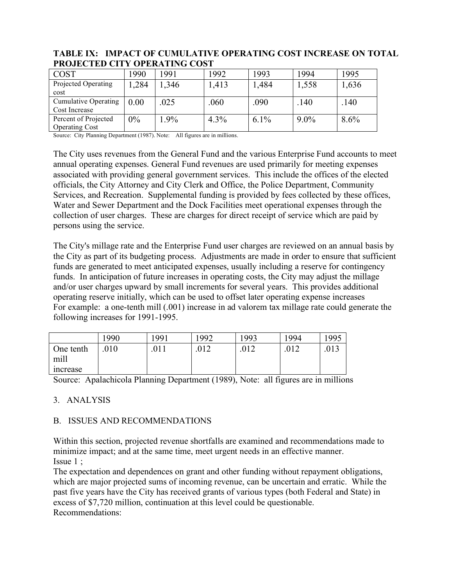| COST                        | .990  | 1991   | 1992  | 1993    | 994     | 1995  |  |  |
|-----------------------------|-------|--------|-------|---------|---------|-------|--|--|
| Projected Operating<br>cost | .284  | ,346   | 1,413 | 1,484   | 1,558   | 1,636 |  |  |
| <b>Cumulative Operating</b> |       |        |       |         |         |       |  |  |
|                             | 0.00  | .025   | .060  | .090    | .140    | .140  |  |  |
| Cost Increase               |       |        |       |         |         |       |  |  |
| Percent of Projected        | $0\%$ | $.9\%$ | 4.3%  | $6.1\%$ | $9.0\%$ | 8.6%  |  |  |
| <b>Operating Cost</b>       |       |        |       |         |         |       |  |  |

#### **TABLE IX: IMPACT OF CUMULATIVE OPERATING COST INCREASE ON TOTAL PROJECTED CITY OPERATING COST**

Source: City Planning Department (1987). Note: All figures are in millions.

The City uses revenues from the General Fund and the various Enterprise Fund accounts to meet annual operating expenses. General Fund revenues are used primarily for meeting expenses associated with providing general government services. This include the offices of the elected officials, the City Attorney and City Clerk and Office, the Police Department, Community Services, and Recreation. Supplemental funding is provided by fees collected by these offices, Water and Sewer Department and the Dock Facilities meet operational expenses through the collection of user charges. These are charges for direct receipt of service which are paid by persons using the service.

The City's millage rate and the Enterprise Fund user charges are reviewed on an annual basis by the City as part of its budgeting process. Adjustments are made in order to ensure that sufficient funds are generated to meet anticipated expenses, usually including a reserve for contingency funds. In anticipation of future increases in operating costs, the City may adjust the millage and/or user charges upward by small increments for several years. This provides additional operating reserve initially, which can be used to offset later operating expense increases For example: a one-tenth mill (.001) increase in ad valorem tax millage rate could generate the following increases for 1991-1995.

|           | .990 | 991  | 1992        | 1993 | 1994 | 1995 |
|-----------|------|------|-------------|------|------|------|
| One tenth | 010  | .011 | በ12<br>.014 | .012 | .012 | .013 |
| mill      |      |      |             |      |      |      |
| increase  |      |      |             |      |      |      |

Source: Apalachicola Planning Department (1989), Note: all figures are in millions

## 3. ANALYSIS

# B. ISSUES AND RECOMMENDATIONS

Within this section, projected revenue shortfalls are examined and recommendations made to minimize impact; and at the same time, meet urgent needs in an effective manner. Issue 1 ;

The expectation and dependences on grant and other funding without repayment obligations, which are major projected sums of incoming revenue, can be uncertain and erratic. While the past five years have the City has received grants of various types (both Federal and State) in excess of \$7,720 million, continuation at this level could be questionable. Recommendations: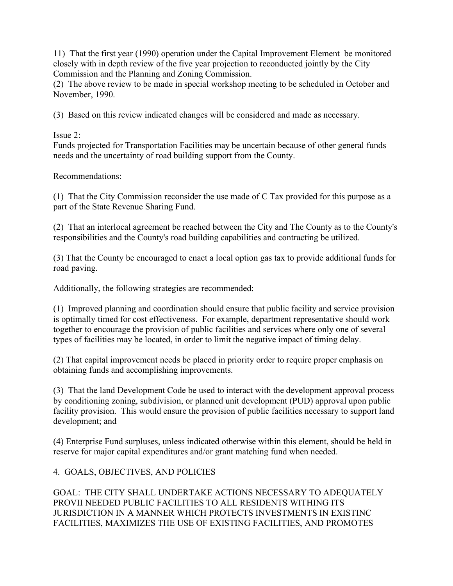11) That the first year (1990) operation under the Capital Improvement Element be monitored closely with in depth review of the five year projection to reconducted jointly by the City Commission and the Planning and Zoning Commission.

(2) The above review to be made in special workshop meeting to be scheduled in October and November, 1990.

(3) Based on this review indicated changes will be considered and made as necessary.

Issue 2:

Funds projected for Transportation Facilities may be uncertain because of other general funds needs and the uncertainty of road building support from the County.

Recommendations:

(1) That the City Commission reconsider the use made of C Tax provided for this purpose as a part of the State Revenue Sharing Fund.

(2) That an interlocal agreement be reached between the City and The County as to the County's responsibilities and the County's road building capabilities and contracting be utilized.

(3) That the County be encouraged to enact a local option gas tax to provide additional funds for road paving.

Additionally, the following strategies are recommended:

(1) Improved planning and coordination should ensure that public facility and service provision is optimally timed for cost effectiveness. For example, department representative should work together to encourage the provision of public facilities and services where only one of several types of facilities may be located, in order to limit the negative impact of timing delay.

(2) That capital improvement needs be placed in priority order to require proper emphasis on obtaining funds and accomplishing improvements.

(3) That the land Development Code be used to interact with the development approval process by conditioning zoning, subdivision, or planned unit development (PUD) approval upon public facility provision. This would ensure the provision of public facilities necessary to support land development; and

(4) Enterprise Fund surpluses, unless indicated otherwise within this element, should be held in reserve for major capital expenditures and/or grant matching fund when needed.

# 4. GOALS, OBJECTIVES, AND POLICIES

GOAL: THE CITY SHALL UNDERTAKE ACTIONS NECESSARY TO ADEQUATELY PROVII NEEDED PUBLIC FACILITIES TO ALL RESIDENTS WITHING ITS JURISDICTION IN A MANNER WHICH PROTECTS INVESTMENTS IN EXISTINC FACILITIES, MAXIMIZES THE USE OF EXISTING FACILITIES, AND PROMOTES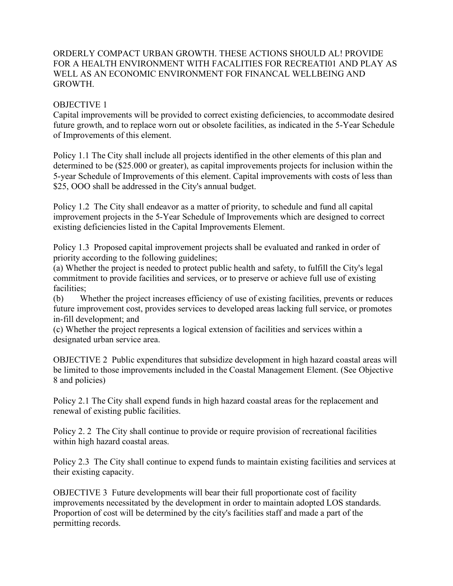## ORDERLY COMPACT URBAN GROWTH. THESE ACTIONS SHOULD AL! PROVIDE FOR A HEALTH ENVIRONMENT WITH FACALITIES FOR RECREATI01 AND PLAY AS WELL AS AN ECONOMIC ENVIRONMENT FOR FINANCAL WELLBEING AND **GROWTH**

### OBJECTIVE 1

Capital improvements will be provided to correct existing deficiencies, to accommodate desired future growth, and to replace worn out or obsolete facilities, as indicated in the 5-Year Schedule of Improvements of this element.

Policy 1.1 The City shall include all projects identified in the other elements of this plan and determined to be (\$25.000 or greater), as capital improvements projects for inclusion within the 5-year Schedule of Improvements of this element. Capital improvements with costs of less than \$25, OOO shall be addressed in the City's annual budget.

Policy 1.2 The City shall endeavor as a matter of priority, to schedule and fund all capital improvement projects in the 5-Year Schedule of Improvements which are designed to correct existing deficiencies listed in the Capital Improvements Element.

Policy 1.3 Proposed capital improvement projects shall be evaluated and ranked in order of priority according to the following guidelines;

(a) Whether the project is needed to protect public health and safety, to fulfill the City's legal commitment to provide facilities and services, or to preserve or achieve full use of existing facilities;

(b) Whether the project increases efficiency of use of existing facilities, prevents or reduces future improvement cost, provides services to developed areas lacking full service, or promotes in-fill development; and

(c) Whether the project represents a logical extension of facilities and services within a designated urban service area.

OBJECTIVE 2 Public expenditures that subsidize development in high hazard coastal areas will be limited to those improvements included in the Coastal Management Element. (See Objective 8 and policies)

Policy 2.1 The City shall expend funds in high hazard coastal areas for the replacement and renewal of existing public facilities.

Policy 2. 2 The City shall continue to provide or require provision of recreational facilities within high hazard coastal areas.

Policy 2.3 The City shall continue to expend funds to maintain existing facilities and services at their existing capacity.

OBJECTIVE 3 Future developments will bear their full proportionate cost of facility improvements necessitated by the development in order to maintain adopted LOS standards. Proportion of cost will be determined by the city's facilities staff and made a part of the permitting records.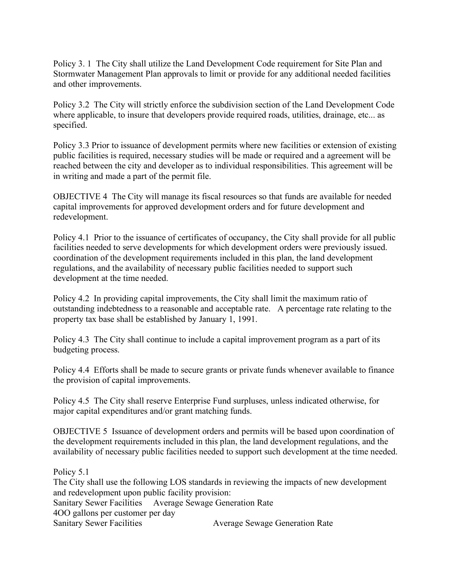Policy 3. 1 The City shall utilize the Land Development Code requirement for Site Plan and Stormwater Management Plan approvals to limit or provide for any additional needed facilities and other improvements.

Policy 3.2 The City will strictly enforce the subdivision section of the Land Development Code where applicable, to insure that developers provide required roads, utilities, drainage, etc... as specified.

Policy 3.3 Prior to issuance of development permits where new facilities or extension of existing public facilities is required, necessary studies will be made or required and a agreement will be reached between the city and developer as to individual responsibilities. This agreement will be in writing and made a part of the permit file.

OBJECTIVE 4 The City will manage its fiscal resources so that funds are available for needed capital improvements for approved development orders and for future development and redevelopment.

Policy 4.1 Prior to the issuance of certificates of occupancy, the City shall provide for all public facilities needed to serve developments for which development orders were previously issued. coordination of the development requirements included in this plan, the land development regulations, and the availability of necessary public facilities needed to support such development at the time needed.

Policy 4.2 In providing capital improvements, the City shall limit the maximum ratio of outstanding indebtedness to a reasonable and acceptable rate. A percentage rate relating to the property tax base shall be established by January 1, 1991.

Policy 4.3 The City shall continue to include a capital improvement program as a part of its budgeting process.

Policy 4.4 Efforts shall be made to secure grants or private funds whenever available to finance the provision of capital improvements.

Policy 4.5 The City shall reserve Enterprise Fund surpluses, unless indicated otherwise, for major capital expenditures and/or grant matching funds.

OBJECTIVE 5 Issuance of development orders and permits will be based upon coordination of the development requirements included in this plan, the land development regulations, and the availability of necessary public facilities needed to support such development at the time needed.

Policy 5.1

The City shall use the following LOS standards in reviewing the impacts of new development and redevelopment upon public facility provision: Sanitary Sewer Facilities Average Sewage Generation Rate 4OO gallons per customer per day Sanitary Sewer Facilities Average Sewage Generation Rate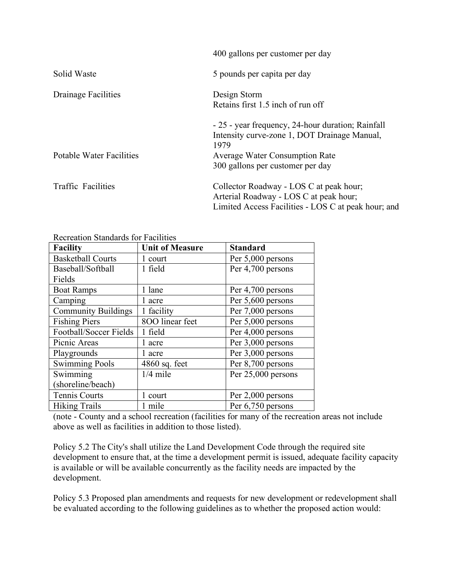|                                 | 400 gallons per customer per day                                                                                                         |
|---------------------------------|------------------------------------------------------------------------------------------------------------------------------------------|
| Solid Waste                     | 5 pounds per capita per day                                                                                                              |
| Drainage Facilities             | Design Storm<br>Retains first 1.5 inch of run off                                                                                        |
|                                 | - 25 - year frequency, 24-hour duration; Rainfall<br>Intensity curve-zone 1, DOT Drainage Manual,<br>1979                                |
| <b>Potable Water Facilities</b> | <b>Average Water Consumption Rate</b><br>300 gallons per customer per day                                                                |
| <b>Traffic Facilities</b>       | Collector Roadway - LOS C at peak hour;<br>Arterial Roadway - LOS C at peak hour;<br>Limited Access Facilities - LOS C at peak hour; and |

#### Recreation Standards for Facilities

| <b>Facility</b>            | <b>Unit of Measure</b> | <b>Standard</b>    |
|----------------------------|------------------------|--------------------|
| <b>Basketball Courts</b>   | 1 court                | Per 5,000 persons  |
| Baseball/Softball          | 1 field                | Per 4,700 persons  |
| Fields                     |                        |                    |
| <b>Boat Ramps</b>          | 1 lane                 | Per 4,700 persons  |
| Camping                    | 1 acre                 | Per 5,600 persons  |
| <b>Community Buildings</b> | 1 facility             | Per 7,000 persons  |
| <b>Fishing Piers</b>       | 800 linear feet        | Per 5,000 persons  |
| Football/Soccer Fields     | 1 field                | Per 4,000 persons  |
| Picnic Areas               | 1 acre                 | Per 3,000 persons  |
| Playgrounds                | 1 acre                 | Per 3,000 persons  |
| <b>Swimming Pools</b>      | $4860$ sq. feet        | Per 8,700 persons  |
| Swimming                   | $1/4$ mile             | Per 25,000 persons |
| (shoreline/beach)          |                        |                    |
| Tennis Courts              | 1 court                | Per 2,000 persons  |
| <b>Hiking Trails</b>       | 1 mile                 | Per 6,750 persons  |

(note - County and a school recreation (facilities for many of the recreation areas not include above as well as facilities in addition to those listed).

Policy 5.2 The City's shall utilize the Land Development Code through the required site development to ensure that, at the time a development permit is issued, adequate facility capacity is available or will be available concurrently as the facility needs are impacted by the development.

Policy 5.3 Proposed plan amendments and requests for new development or redevelopment shall be evaluated according to the following guidelines as to whether the proposed action would: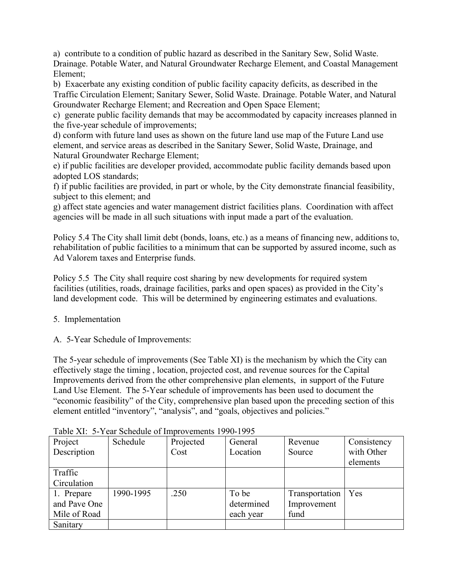a) contribute to a condition of public hazard as described in the Sanitary Sew, Solid Waste. Drainage. Potable Water, and Natural Groundwater Recharge Element, and Coastal Management Element;

b) Exacerbate any existing condition of public facility capacity deficits, as described in the Traffic Circulation Element; Sanitary Sewer, Solid Waste. Drainage. Potable Water, and Natural Groundwater Recharge Element; and Recreation and Open Space Element;

c) generate public facility demands that may be accommodated by capacity increases planned in the five-year schedule of improvements;

d) conform with future land uses as shown on the future land use map of the Future Land use element, and service areas as described in the Sanitary Sewer, Solid Waste, Drainage, and Natural Groundwater Recharge Element;

e) if public facilities are developer provided, accommodate public facility demands based upon adopted LOS standards;

f) if public facilities are provided, in part or whole, by the City demonstrate financial feasibility, subject to this element; and

g) affect state agencies and water management district facilities plans. Coordination with affect agencies will be made in all such situations with input made a part of the evaluation.

Policy 5.4 The City shall limit debt (bonds, loans, etc.) as a means of financing new, additions to, rehabilitation of public facilities to a minimum that can be supported by assured income, such as Ad Valorem taxes and Enterprise funds.

Policy 5.5 The City shall require cost sharing by new developments for required system facilities (utilities, roads, drainage facilities, parks and open spaces) as provided in the City's land development code. This will be determined by engineering estimates and evaluations.

5. Implementation

A. 5-Year Schedule of Improvements:

The 5-year schedule of improvements (See Table XI) is the mechanism by which the City can effectively stage the timing , location, projected cost, and revenue sources for the Capital Improvements derived from the other comprehensive plan elements, in support of the Future Land Use Element. The 5-Year schedule of improvements has been used to document the "economic feasibility" of the City, comprehensive plan based upon the preceding section of this element entitled "inventory", "analysis", and "goals, objectives and policies."

| Project      | Schedule  | Projected | General    | Revenue        | Consistency |
|--------------|-----------|-----------|------------|----------------|-------------|
| Description  |           | Cost      | Location   | Source         | with Other  |
|              |           |           |            |                | elements    |
| Traffic      |           |           |            |                |             |
| Circulation  |           |           |            |                |             |
| 1. Prepare   | 1990-1995 | .250      | To be      | Transportation | Yes         |
| and Pave One |           |           | determined | Improvement    |             |
| Mile of Road |           |           | each year  | fund           |             |
| Sanitary     |           |           |            |                |             |

Table XI: 5-Year Schedule of Improvements 1990-1995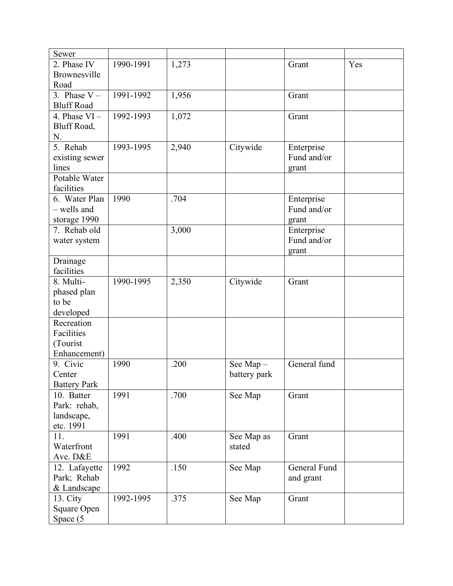| 2. Phase IV<br>1990-1991<br>1,273<br>Yes<br>Grant<br>Brownesville<br>Road<br>3. Phase $V -$<br>1991-1992<br>1,956<br>Grant<br><b>Bluff Road</b><br>4. Phase $VI -$<br>1992-1993<br>1,072<br>Grant<br>Bluff Road,<br>N.<br>5. Rehab<br>Citywide<br>1993-1995<br>2,940<br>Enterprise<br>Fund and/or<br>existing sewer<br>lines<br>grant<br>Potable Water<br>facilities<br>1990<br>Enterprise<br>6. Water Plan<br>.704<br>- wells and<br>Fund and/or<br>storage 1990<br>grant<br>Enterprise<br>7. Rehab old<br>3,000<br>Fund and/or<br>water system<br>grant<br>Drainage<br>facilities<br>8. Multi-<br>1990-1995<br>2,350<br>Citywide<br>Grant<br>phased plan<br>to be<br>developed<br>Recreation<br>Facilities<br>(Tourist<br>Enhancement)<br>9. Civic<br>General fund<br>1990<br>.200<br>See Map-<br>battery park<br>Center<br><b>Battery Park</b><br>10. Batter<br>1991<br>.700<br>See Map<br>Grant<br>Park: rehab,<br>landscape,<br>etc. 1991<br>11.<br>1991<br>.400<br>Grant<br>See Map as<br>Waterfront<br>stated<br>Ave. D&E<br>1992<br>.150<br>General Fund<br>12. Lafayette<br>See Map<br>Park; Rehab<br>and grant | Sewer       |  |  |  |
|--------------------------------------------------------------------------------------------------------------------------------------------------------------------------------------------------------------------------------------------------------------------------------------------------------------------------------------------------------------------------------------------------------------------------------------------------------------------------------------------------------------------------------------------------------------------------------------------------------------------------------------------------------------------------------------------------------------------------------------------------------------------------------------------------------------------------------------------------------------------------------------------------------------------------------------------------------------------------------------------------------------------------------------------------------------------------------------------------------------------------|-------------|--|--|--|
|                                                                                                                                                                                                                                                                                                                                                                                                                                                                                                                                                                                                                                                                                                                                                                                                                                                                                                                                                                                                                                                                                                                          |             |  |  |  |
|                                                                                                                                                                                                                                                                                                                                                                                                                                                                                                                                                                                                                                                                                                                                                                                                                                                                                                                                                                                                                                                                                                                          |             |  |  |  |
|                                                                                                                                                                                                                                                                                                                                                                                                                                                                                                                                                                                                                                                                                                                                                                                                                                                                                                                                                                                                                                                                                                                          |             |  |  |  |
|                                                                                                                                                                                                                                                                                                                                                                                                                                                                                                                                                                                                                                                                                                                                                                                                                                                                                                                                                                                                                                                                                                                          |             |  |  |  |
|                                                                                                                                                                                                                                                                                                                                                                                                                                                                                                                                                                                                                                                                                                                                                                                                                                                                                                                                                                                                                                                                                                                          |             |  |  |  |
|                                                                                                                                                                                                                                                                                                                                                                                                                                                                                                                                                                                                                                                                                                                                                                                                                                                                                                                                                                                                                                                                                                                          |             |  |  |  |
|                                                                                                                                                                                                                                                                                                                                                                                                                                                                                                                                                                                                                                                                                                                                                                                                                                                                                                                                                                                                                                                                                                                          |             |  |  |  |
|                                                                                                                                                                                                                                                                                                                                                                                                                                                                                                                                                                                                                                                                                                                                                                                                                                                                                                                                                                                                                                                                                                                          |             |  |  |  |
|                                                                                                                                                                                                                                                                                                                                                                                                                                                                                                                                                                                                                                                                                                                                                                                                                                                                                                                                                                                                                                                                                                                          |             |  |  |  |
|                                                                                                                                                                                                                                                                                                                                                                                                                                                                                                                                                                                                                                                                                                                                                                                                                                                                                                                                                                                                                                                                                                                          |             |  |  |  |
|                                                                                                                                                                                                                                                                                                                                                                                                                                                                                                                                                                                                                                                                                                                                                                                                                                                                                                                                                                                                                                                                                                                          |             |  |  |  |
|                                                                                                                                                                                                                                                                                                                                                                                                                                                                                                                                                                                                                                                                                                                                                                                                                                                                                                                                                                                                                                                                                                                          |             |  |  |  |
|                                                                                                                                                                                                                                                                                                                                                                                                                                                                                                                                                                                                                                                                                                                                                                                                                                                                                                                                                                                                                                                                                                                          |             |  |  |  |
|                                                                                                                                                                                                                                                                                                                                                                                                                                                                                                                                                                                                                                                                                                                                                                                                                                                                                                                                                                                                                                                                                                                          |             |  |  |  |
|                                                                                                                                                                                                                                                                                                                                                                                                                                                                                                                                                                                                                                                                                                                                                                                                                                                                                                                                                                                                                                                                                                                          |             |  |  |  |
|                                                                                                                                                                                                                                                                                                                                                                                                                                                                                                                                                                                                                                                                                                                                                                                                                                                                                                                                                                                                                                                                                                                          |             |  |  |  |
|                                                                                                                                                                                                                                                                                                                                                                                                                                                                                                                                                                                                                                                                                                                                                                                                                                                                                                                                                                                                                                                                                                                          |             |  |  |  |
|                                                                                                                                                                                                                                                                                                                                                                                                                                                                                                                                                                                                                                                                                                                                                                                                                                                                                                                                                                                                                                                                                                                          |             |  |  |  |
|                                                                                                                                                                                                                                                                                                                                                                                                                                                                                                                                                                                                                                                                                                                                                                                                                                                                                                                                                                                                                                                                                                                          |             |  |  |  |
|                                                                                                                                                                                                                                                                                                                                                                                                                                                                                                                                                                                                                                                                                                                                                                                                                                                                                                                                                                                                                                                                                                                          |             |  |  |  |
|                                                                                                                                                                                                                                                                                                                                                                                                                                                                                                                                                                                                                                                                                                                                                                                                                                                                                                                                                                                                                                                                                                                          |             |  |  |  |
|                                                                                                                                                                                                                                                                                                                                                                                                                                                                                                                                                                                                                                                                                                                                                                                                                                                                                                                                                                                                                                                                                                                          |             |  |  |  |
|                                                                                                                                                                                                                                                                                                                                                                                                                                                                                                                                                                                                                                                                                                                                                                                                                                                                                                                                                                                                                                                                                                                          |             |  |  |  |
|                                                                                                                                                                                                                                                                                                                                                                                                                                                                                                                                                                                                                                                                                                                                                                                                                                                                                                                                                                                                                                                                                                                          |             |  |  |  |
|                                                                                                                                                                                                                                                                                                                                                                                                                                                                                                                                                                                                                                                                                                                                                                                                                                                                                                                                                                                                                                                                                                                          |             |  |  |  |
|                                                                                                                                                                                                                                                                                                                                                                                                                                                                                                                                                                                                                                                                                                                                                                                                                                                                                                                                                                                                                                                                                                                          |             |  |  |  |
|                                                                                                                                                                                                                                                                                                                                                                                                                                                                                                                                                                                                                                                                                                                                                                                                                                                                                                                                                                                                                                                                                                                          |             |  |  |  |
|                                                                                                                                                                                                                                                                                                                                                                                                                                                                                                                                                                                                                                                                                                                                                                                                                                                                                                                                                                                                                                                                                                                          |             |  |  |  |
|                                                                                                                                                                                                                                                                                                                                                                                                                                                                                                                                                                                                                                                                                                                                                                                                                                                                                                                                                                                                                                                                                                                          |             |  |  |  |
|                                                                                                                                                                                                                                                                                                                                                                                                                                                                                                                                                                                                                                                                                                                                                                                                                                                                                                                                                                                                                                                                                                                          |             |  |  |  |
|                                                                                                                                                                                                                                                                                                                                                                                                                                                                                                                                                                                                                                                                                                                                                                                                                                                                                                                                                                                                                                                                                                                          |             |  |  |  |
|                                                                                                                                                                                                                                                                                                                                                                                                                                                                                                                                                                                                                                                                                                                                                                                                                                                                                                                                                                                                                                                                                                                          |             |  |  |  |
|                                                                                                                                                                                                                                                                                                                                                                                                                                                                                                                                                                                                                                                                                                                                                                                                                                                                                                                                                                                                                                                                                                                          |             |  |  |  |
|                                                                                                                                                                                                                                                                                                                                                                                                                                                                                                                                                                                                                                                                                                                                                                                                                                                                                                                                                                                                                                                                                                                          |             |  |  |  |
|                                                                                                                                                                                                                                                                                                                                                                                                                                                                                                                                                                                                                                                                                                                                                                                                                                                                                                                                                                                                                                                                                                                          |             |  |  |  |
|                                                                                                                                                                                                                                                                                                                                                                                                                                                                                                                                                                                                                                                                                                                                                                                                                                                                                                                                                                                                                                                                                                                          |             |  |  |  |
|                                                                                                                                                                                                                                                                                                                                                                                                                                                                                                                                                                                                                                                                                                                                                                                                                                                                                                                                                                                                                                                                                                                          |             |  |  |  |
|                                                                                                                                                                                                                                                                                                                                                                                                                                                                                                                                                                                                                                                                                                                                                                                                                                                                                                                                                                                                                                                                                                                          |             |  |  |  |
|                                                                                                                                                                                                                                                                                                                                                                                                                                                                                                                                                                                                                                                                                                                                                                                                                                                                                                                                                                                                                                                                                                                          |             |  |  |  |
|                                                                                                                                                                                                                                                                                                                                                                                                                                                                                                                                                                                                                                                                                                                                                                                                                                                                                                                                                                                                                                                                                                                          |             |  |  |  |
|                                                                                                                                                                                                                                                                                                                                                                                                                                                                                                                                                                                                                                                                                                                                                                                                                                                                                                                                                                                                                                                                                                                          |             |  |  |  |
|                                                                                                                                                                                                                                                                                                                                                                                                                                                                                                                                                                                                                                                                                                                                                                                                                                                                                                                                                                                                                                                                                                                          |             |  |  |  |
|                                                                                                                                                                                                                                                                                                                                                                                                                                                                                                                                                                                                                                                                                                                                                                                                                                                                                                                                                                                                                                                                                                                          | & Landscape |  |  |  |
| 1992-1995<br>.375<br>13. City<br>See Map<br>Grant                                                                                                                                                                                                                                                                                                                                                                                                                                                                                                                                                                                                                                                                                                                                                                                                                                                                                                                                                                                                                                                                        |             |  |  |  |
| Square Open                                                                                                                                                                                                                                                                                                                                                                                                                                                                                                                                                                                                                                                                                                                                                                                                                                                                                                                                                                                                                                                                                                              |             |  |  |  |
| Space (5                                                                                                                                                                                                                                                                                                                                                                                                                                                                                                                                                                                                                                                                                                                                                                                                                                                                                                                                                                                                                                                                                                                 |             |  |  |  |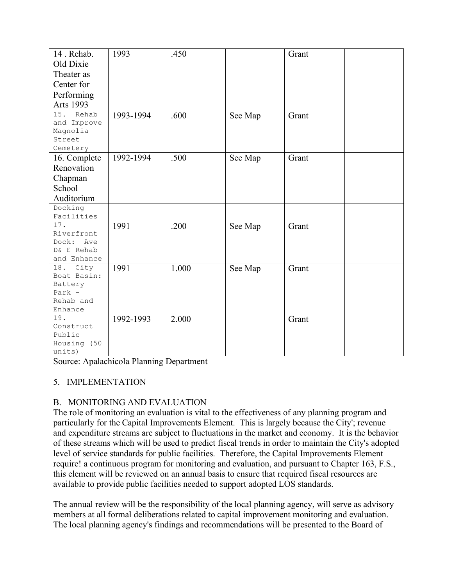| 14. Rehab.                 | 1993      | .450  |         | Grant |  |
|----------------------------|-----------|-------|---------|-------|--|
| Old Dixie                  |           |       |         |       |  |
| Theater as                 |           |       |         |       |  |
| Center for                 |           |       |         |       |  |
| Performing                 |           |       |         |       |  |
|                            |           |       |         |       |  |
| <b>Arts 1993</b>           |           |       |         |       |  |
| 15.<br>Rehab               | 1993-1994 | .600  | See Map | Grant |  |
| and Improve                |           |       |         |       |  |
| Magnolia<br>Street         |           |       |         |       |  |
| Cemetery                   |           |       |         |       |  |
| 16. Complete               | 1992-1994 | .500  | See Map | Grant |  |
| Renovation                 |           |       |         |       |  |
| Chapman                    |           |       |         |       |  |
| School                     |           |       |         |       |  |
|                            |           |       |         |       |  |
| Auditorium                 |           |       |         |       |  |
| Docking                    |           |       |         |       |  |
| Facilities                 |           |       |         |       |  |
| 17.                        | 1991      | .200  | See Map | Grant |  |
| Riverfront                 |           |       |         |       |  |
| Dock:<br>Ave<br>D& E Rehab |           |       |         |       |  |
| and Enhance                |           |       |         |       |  |
| City<br>18.                |           |       |         |       |  |
| Boat Basin:                | 1991      | 1.000 | See Map | Grant |  |
| Battery                    |           |       |         |       |  |
| Park $-$                   |           |       |         |       |  |
| Rehab and                  |           |       |         |       |  |
| Enhance                    |           |       |         |       |  |
| 19.                        | 1992-1993 | 2.000 |         | Grant |  |
| Construct                  |           |       |         |       |  |
| Public                     |           |       |         |       |  |
| Housing (50                |           |       |         |       |  |
| units)                     |           |       |         |       |  |

Source: Apalachicola Planning Department

## 5. IMPLEMENTATION

# B. MONITORING AND EVALUATION

The role of monitoring an evaluation is vital to the effectiveness of any planning program and particularly for the Capital Improvements Element. This is largely because the City'; revenue and expenditure streams are subject to fluctuations in the market and economy. It is the behavior of these streams which will be used to predict fiscal trends in order to maintain the City's adopted level of service standards for public facilities. Therefore, the Capital Improvements Element require! a continuous program for monitoring and evaluation, and pursuant to Chapter 163, F.S., this element will be reviewed on an annual basis to ensure that required fiscal resources are available to provide public facilities needed to support adopted LOS standards.

The annual review will be the responsibility of the local planning agency, will serve as advisory members at all formal deliberations related to capital improvement monitoring and evaluation. The local planning agency's findings and recommendations will be presented to the Board of